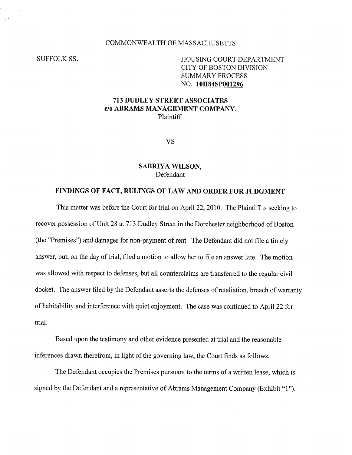### COMMONWEALTH OF MASSACHUSETTS

# SUFFOLK SS. HOUSING COURT DEPARTMENT CITY OF BOSTON DIVISION SUMMARY PROCESS NO. 10H84SP001296

# 713 DUDLEY STREET ASSOCIATES c/o ABRAMS MANAGEMENT COMPANY, Plaintiff

VS

#### SABRIYA WILSON, Defendant

### FINDINGS OF FACT, RULINGS OF LAW AND ORDER FOR JUDGMENT

This matter was before the Court for trial on April 22, 2010. The Plaintiff is seeking to recover possession of Unit 28 at 713 Dudley Street in the Dorchester neighborhood of Boston (the "Premises") and damages for non-payment of rent. The Defendant did not file a timely answer, but, on the day of trial, filed a motion to allow her to file an answer late. The motion was allowed with respect to defenses, but all counterclaims are transferred to the regular civil docket. The answer filed by the Defendant asserts the defenses of retaliation, breach of warranty of habitability and interference with quiet enjoyment. The case was continued to April 22 for trial.

Based upon the testimony and other evidence presented at trial and the reasonable inferences drawn therefrom, in light of the governing law, the Court finds as follows.

The Defendant occupies the Premises pursuant to the terms of a written lease, which is signed by the Defendant and a representative of Abrams Management Company (Exhibit "1").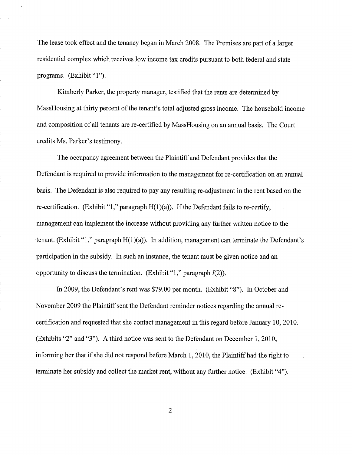The lease took effect and the tenancy began in March 2008. The Premises are part of a larger residential complex which receives low income tax credits pursuant to both federal and state programs. (Exhibit "1"). The lease took effect and the tenancy began in<br>residential complex which receives low income<br>programs. (Exhibit "1").<br>Kimberly Parker, the property manager

Kimberly Parker, the property manager, testified that the rents are determined by MassHousing at thirty percent of the tenant's total adjusted gross income. The household income and composition of all tenants are re-certified by MassHousing on an annual basis. The Court credits Ms. Parker's testimony.

The occupancy agreement between the Plaintiff and Defendant provides that the Defendant is required to provide information to the management for re-certification on an annual basis. The Defendant is also required to pay any resulting re-adjustment in the rent based on the re-certification. (Exhibit "1," paragraph  $H(1)(a)$ ). If the Defendant fails to re-certify, management can implement the increase without providing any further written notice to the tenant. (Exhibit "1," paragraph  $H(1)(a)$ ). In addition, management can terminate the Defendant's participation in the subsidy. In such an instance, the tenant must be given notice and an opportunity to discuss the termination. (Exhibit "1," paragraph  $I(2)$ ).

In 2009, the Defendant's rent was \$79.00 per month. (Exhibit "8"). In October and November 2009 the Plaintiff sent the Defendant reminder notices regarding the annual recertification and requested that she contact management in this regard before January 10, 2010. (Exhibits "2" and "3"). A third notice was sent to the Defendant on December 1, 2010, informing her that if she did not respond before March 1, 2010, the Plaintiff had the right to terminate her subsidy and collect the market rent, without any further notice. (Exhibit "4").

2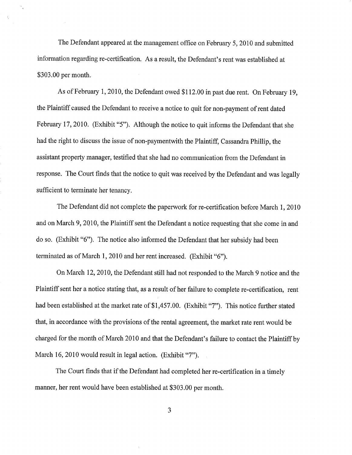The Defendant appeared at the management office on February 5, 2010 and submitted information regarding re-certification. As a result, the Defendant's rent was established at \$303.00 per month.

As of February 1, 2010, the Defendant owed \$112.00 in past due rent. On February 19, the Plaintiff caused the Defendant to receive a notice to quit for non-payment of rent dated February 17, 2010. (Exhibit "5"). Although the notice to quit informs the Defendant that she had the right to discuss the issue of non-paymentwith the Plaintiff, Cassandra Phillip, the assistant property manager, testified that she had no communication from the Defendant in response. The Court finds that the notice to quit was received by the Defendant and was legally sufficient to terminate her tenancy.

The Defendant did not complete the paperwork for re-certification before March 1, 2010 and on March 9, 2010, the Plaintiff sent the Defendant a notice requesting that she come in and do so. (Exhibit "6"). The notice also informed the Defendant that her subsidy had been terminated as of March 1, 2010 and her rent increased. (Exhibit "6"). the paperwork for re-certification<br>the Defendant a notice requesting<br>formed the Defendant that her sub-<br>rent increased. (Exhibit "6").

On March 12, 2010, the Defendant still had not responded to the March 9 notice and the Plaintiff sent her a notice stating that, as a result of her failure to complete re-certification, rent had been established at the market rate of \$1,457.00. (Exhibit "7"). This notice further stated that, in accordance with the provisions of the rental agreement, the market rate rent would be charged for the month of March 2010 and that the Defendant's failure to contact the Plaintiff by March 16, 2010 would result in legal action. (Exhibit "7").

The Court finds that if the Defendant had completed her re-certification in a timely manner, her rent would have been established at \$303.00 per month.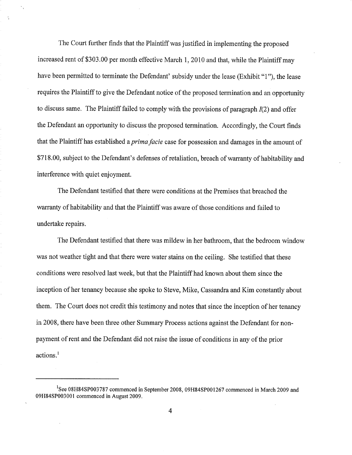The Court further finds that the Plaintiff was justified in implementing the proposed increased rent of \$303.00 per month effective March 1, 2010 and that, while the Plaintiff may have been permitted to terminate the Defendant' subsidy under the lease (Exhibit "1"), the lease requires the Plaintiff to give the Defendant notice of the proposed termination and an opportunity to discuss same. The Plaintiff failed to comply with the provisions of paragraph  $I(2)$  and offer the Defendant an opportunity to discuss the proposed termination. Accordingly, the Court finds that the Plaintiff has established a *prima facie* case for possession and damages in the amount of \$718.00, subject to the Defendant's defenses of retaliation, breach of warranty of habitability and interference with quiet enjoyment.

The Defendant testified that there were conditions at the Premises that breached the warranty of habitability and that the Plaintiff was aware of those conditions and failed to undertake repairs.

The Defendant testified that there was mildew in her bathroom, that the bedroom window was not weather tight and that there were water stains on the ceiling. She testified that these conditions were resolved last week, but that the Plaintiff had known about them since the inception of her tenancy because she spoke to Steve, Mike, Cassandra and Kim constantly about them. The Court does not credit this testimony and notes that since the inception of her tenancy in 2008, there have been three other Summary Process actions against the Defendant for nonpayment of rent and the Defendant did not raise the issue of conditions in any of the prior actions.' Plaintiff has est:<br>
), subject to the l<br>
ence with quiet  $\epsilon$ <br>
The Defendant t<br>
y of habitability<br>
ke repairs.<br>
The Defendant t<br>
weather tight ar<br>
mos were resolve<br>
on of her tenancy<br>
The Court does n<br>
there have been<br>
t o

<sup>&</sup>lt;sup>1</sup>See 08H84SP003787 commenced in September 2008, 09H84SP001267 commenced in March 2009 and 09H84SP003001 commenced in August 2009.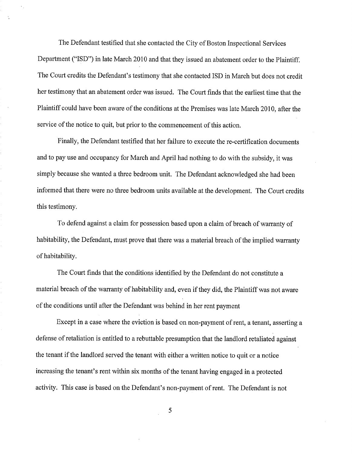The Defendant testified that she contacted the City of Boston Inspectional Services Department ("ISD") in late March 2010 and that they issued an abatement order to the Plaintiff. The Court credits the Defendant's testimony that she contacted ISD in March but does not credit her testimony that an abatement order was issued. The Court finds that the earliest time that the Plaintiff could have been aware of the conditions at the Premises was late March 2010, after the service of the notice to quit, but prior to the commencement of this action.

Finally, the Defendant testified that her failure to execute the re-certification documents and to pay use and occupancy for March and April had nothing to do with the subsidy, it was simply because she wanted a three bedroom unit. The Defendant acknowledged she had been informed that there were no three bedroom units available at the development. The Court credits this testimony.

To defend against a claim for possession based upon a claim of breach of warranty of habitability, the Defendant, must prove that there was a material breach of the implied warranty of habitability.

The Court finds that the conditions identified by the Defendant do not constitute a material breach of the warranty of habitability and, even if they did, the Plaintiff was not aware of the conditions until after the Defendant was behind in her rent payment

Except in a case where the eviction is based on non-payment of rent, a tenant, asserting a defense of retaliation is entitled to a rebuttable presumption that the landlord retaliated against the tenant if the landlord served the tenant with either a written notice to quit or a notice increasing the tenant's rent within six months of the tenant having engaged in a protected activity. This case is based on the Defendant's non-payment of rent. The Defendant is not d the tenant with either a written notice to<br>hin six months of the tenant having engag<br>the Defendant's non-payment of rent. Th

5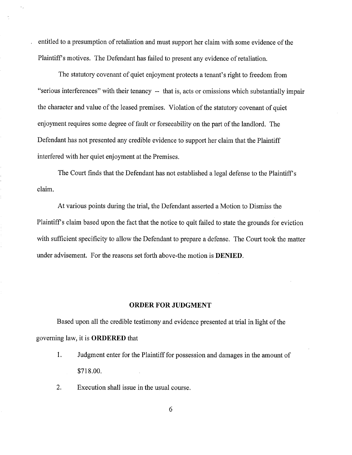entitled to a presumption of retaliation and must support her claim with some evidence of the Plaintiff's motives. The Defendant has failed to present any evidence of retaliation.

The statutory covenant of quiet enjoyment protects a tenant's right to freedom from "serious interferences" with their tenancy -- that is, acts or omissions which substantially impair the character and value of the leased premises. Violation of the statutory covenant of quiet enjoyment requires some degree of fault or forseeability on the part of the landlord. The Defendant has not presented any credible evidence to support her claim that the Plaintiff interfered with her quiet enjoyment at the Premises.

The Court finds that the Defendant has not established a legal defense to the Plaintiff's claim.

At various points during the trial, the Defendant asserted a Motion to Dismiss the Motion to Plaintiff's claim based upon the fact that the notice to quit failed to state the grounds for eviction with sufficient specificity to allow the Defendant to prepare a defense. The Court took the matter under advisement. For the reasons set forth above-the motion is DENIED.

#### ORDER FOR JUDGMENT

Based upon all the credible testimony and evidence presented at trial in light of the governing law, it is ORDERED that

- 1. Judgment enter for the Plaintiff for possession and damages in the amount of \$718.00.
- 2. Execution shall issue in the usual course.